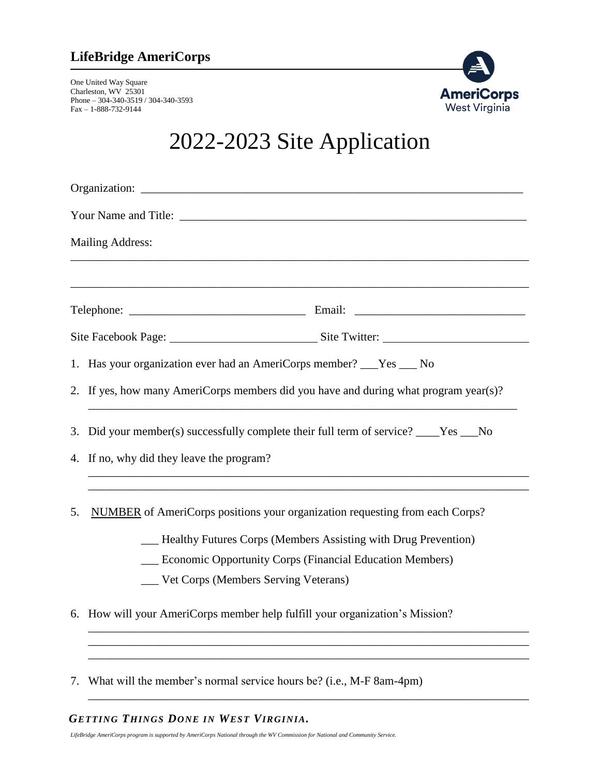### **LifeBridge AmeriCorps**

One United Way Square Charleston, WV 25301 Phone – 304-340-3519 / 304-340-3593 Fax – 1-888-732-9144



# 2022-2023 Site Application

| <b>Mailing Address:</b> |                                                                                       |  |  |  |  |  |
|-------------------------|---------------------------------------------------------------------------------------|--|--|--|--|--|
|                         |                                                                                       |  |  |  |  |  |
|                         |                                                                                       |  |  |  |  |  |
|                         |                                                                                       |  |  |  |  |  |
|                         | 1. Has your organization ever had an AmeriCorps member? ___Yes ___ No                 |  |  |  |  |  |
|                         | 2. If yes, how many AmeriCorps members did you have and during what program year(s)?  |  |  |  |  |  |
|                         | 3. Did your member(s) successfully complete their full term of service? ____Yes ___No |  |  |  |  |  |
|                         | 4. If no, why did they leave the program?                                             |  |  |  |  |  |
| 5.                      | <b>NUMBER</b> of AmeriCorps positions your organization requesting from each Corps?   |  |  |  |  |  |
|                         | - Healthy Futures Corps (Members Assisting with Drug Prevention)                      |  |  |  |  |  |
|                         | <b>Economic Opportunity Corps (Financial Education Members)</b>                       |  |  |  |  |  |
|                         | ___ Vet Corps (Members Serving Veterans)                                              |  |  |  |  |  |
|                         | 6. How will your AmeriCorps member help fulfill your organization's Mission?          |  |  |  |  |  |
|                         |                                                                                       |  |  |  |  |  |
|                         |                                                                                       |  |  |  |  |  |

\_\_\_\_\_\_\_\_\_\_\_\_\_\_\_\_\_\_\_\_\_\_\_\_\_\_\_\_\_\_\_\_\_\_\_\_\_\_\_\_\_\_\_\_\_\_\_\_\_\_\_\_\_\_\_\_\_\_\_\_\_\_\_\_\_\_\_\_\_\_\_\_\_\_\_

7. What will the member's normal service hours be? (i.e., M-F 8am-4pm)

#### *GETTING THINGS DONE IN WEST VIRGINIA.*

*LifeBridge AmeriCorps program is supported by AmeriCorps National through the WV Commission for National and Community Service.*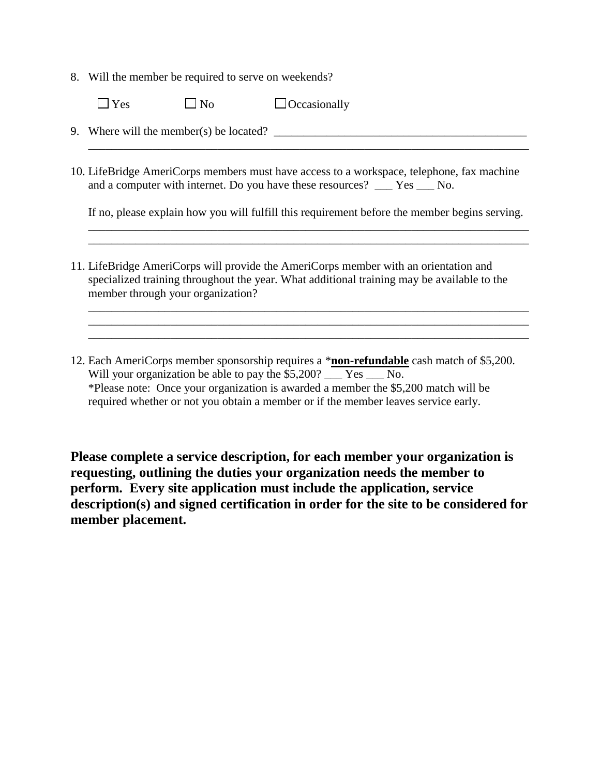8. Will the member be required to serve on weekends?

| $\Box$ Yes | $\square$ No | $\Box$ Occasionally |
|------------|--------------|---------------------|
|------------|--------------|---------------------|

9. Where will the member(s) be located?  $\Box$ 

10. LifeBridge AmeriCorps members must have access to a workspace, telephone, fax machine and a computer with internet. Do you have these resources? \_\_\_ Yes \_\_\_ No.

If no, please explain how you will fulfill this requirement before the member begins serving. \_\_\_\_\_\_\_\_\_\_\_\_\_\_\_\_\_\_\_\_\_\_\_\_\_\_\_\_\_\_\_\_\_\_\_\_\_\_\_\_\_\_\_\_\_\_\_\_\_\_\_\_\_\_\_\_\_\_\_\_\_\_\_\_\_\_\_\_\_\_\_\_\_\_\_

\_\_\_\_\_\_\_\_\_\_\_\_\_\_\_\_\_\_\_\_\_\_\_\_\_\_\_\_\_\_\_\_\_\_\_\_\_\_\_\_\_\_\_\_\_\_\_\_\_\_\_\_\_\_\_\_\_\_\_\_\_\_\_\_\_\_\_\_\_\_\_\_\_\_\_

\_\_\_\_\_\_\_\_\_\_\_\_\_\_\_\_\_\_\_\_\_\_\_\_\_\_\_\_\_\_\_\_\_\_\_\_\_\_\_\_\_\_\_\_\_\_\_\_\_\_\_\_\_\_\_\_\_\_\_\_\_\_\_\_\_\_\_\_\_\_\_\_\_\_\_ \_\_\_\_\_\_\_\_\_\_\_\_\_\_\_\_\_\_\_\_\_\_\_\_\_\_\_\_\_\_\_\_\_\_\_\_\_\_\_\_\_\_\_\_\_\_\_\_\_\_\_\_\_\_\_\_\_\_\_\_\_\_\_\_\_\_\_\_\_\_\_\_\_\_\_ \_\_\_\_\_\_\_\_\_\_\_\_\_\_\_\_\_\_\_\_\_\_\_\_\_\_\_\_\_\_\_\_\_\_\_\_\_\_\_\_\_\_\_\_\_\_\_\_\_\_\_\_\_\_\_\_\_\_\_\_\_\_\_\_\_\_\_\_\_\_\_\_\_\_\_

\_\_\_\_\_\_\_\_\_\_\_\_\_\_\_\_\_\_\_\_\_\_\_\_\_\_\_\_\_\_\_\_\_\_\_\_\_\_\_\_\_\_\_\_\_\_\_\_\_\_\_\_\_\_\_\_\_\_\_\_\_\_\_\_\_\_\_\_\_\_\_\_\_\_\_

- 11. LifeBridge AmeriCorps will provide the AmeriCorps member with an orientation and specialized training throughout the year. What additional training may be available to the member through your organization?
- 12. Each AmeriCorps member sponsorship requires a \***non-refundable** cash match of \$5,200. Will your organization be able to pay the \$5,200? Yes No. \*Please note: Once your organization is awarded a member the \$5,200 match will be required whether or not you obtain a member or if the member leaves service early.

**Please complete a service description, for each member your organization is requesting, outlining the duties your organization needs the member to perform. Every site application must include the application, service description(s) and signed certification in order for the site to be considered for member placement.**